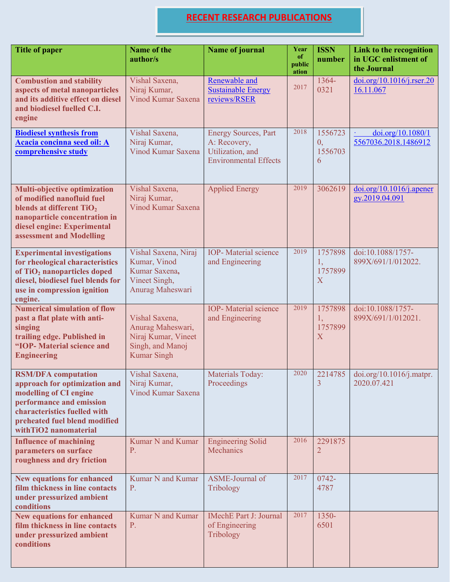## RECENT RESEARCH PUBLICATIONS

| <b>Title of paper</b>                                                                                                                                                                                       | <b>Name of the</b><br>author/s                                                                       | <b>Name of journal</b>                                                                          | Year<br>of<br>public<br>ation | <b>ISSN</b><br>number                       | Link to the recognition<br>in UGC enlistment of<br>the Journal     |
|-------------------------------------------------------------------------------------------------------------------------------------------------------------------------------------------------------------|------------------------------------------------------------------------------------------------------|-------------------------------------------------------------------------------------------------|-------------------------------|---------------------------------------------|--------------------------------------------------------------------|
| <b>Combustion and stability</b><br>aspects of metal nanoparticles<br>and its additive effect on diesel<br>and biodiesel fuelled C.I.<br>engine                                                              | Vishal Saxena,<br>Niraj Kumar,<br>Vinod Kumar Saxena                                                 | Renewable and<br><b>Sustainable Energy</b><br>reviews/RSER                                      | 2017                          | 1364-<br>0321                               | $\underline{\text{doi.org}}/10.1016$ /j.rser.20<br>16.11.067       |
| <b>Biodiesel synthesis from</b><br>Acacia concinna seed oil: A<br>comprehensive study                                                                                                                       | Vishal Saxena,<br>Niraj Kumar,<br>Vinod Kumar Saxena                                                 | <b>Energy Sources, Part</b><br>A: Recovery,<br>Utilization, and<br><b>Environmental Effects</b> | 2018                          | 1556723<br>$\overline{0}$ ,<br>1556703<br>6 | doi.org/10.1080/1<br>5567036.2018.1486912                          |
| <b>Multi-objective optimization</b><br>of modified nanofluid fuel<br>blends at different TiO <sub>2</sub><br>nanoparticle concentration in<br>diesel engine: Experimental<br>assessment and Modelling       | Vishal Saxena,<br>Niraj Kumar,<br>Vinod Kumar Saxena                                                 | <b>Applied Energy</b>                                                                           | 2019                          | 3062619                                     | $\frac{\text{doi.org}}{10.1016/\text{j.apener}}$<br>gy.2019.04.091 |
| <b>Experimental investigations</b><br>for rheological characteristics<br>of TiO <sub>2</sub> nanoparticles doped<br>diesel, biodiesel fuel blends for<br>use in compression ignition<br>engine.             | Vishal Saxena, Niraj<br>Kumar, Vinod<br>Kumar Saxena,<br>Vineet Singh,<br>Anurag Maheswari           | <b>IOP-</b> Material science<br>and Engineering                                                 | 2019                          | 1757898<br>1,<br>1757899<br>X               | doi:10.1088/1757-<br>899X/691/1/012022.                            |
| <b>Numerical simulation of flow</b><br>past a flat plate with anti-<br>singing<br>trailing edge. Published in<br>"IOP- Material science and<br><b>Engineering</b>                                           | Vishal Saxena,<br>Anurag Maheswari,<br>Niraj Kumar, Vineet<br>Singh, and Manoj<br><b>Kumar Singh</b> | <b>IOP-</b> Material science<br>and Engineering                                                 | 2019                          | 1757898<br>1,<br>1757899<br>X               | doi:10.1088/1757-<br>899X/691/1/012021.                            |
| <b>RSM/DFA</b> computation<br>approach for optimization and<br>modelling of CI engine<br>performance and emission<br>characteristics fuelled with<br>preheated fuel blend modified<br>withTiO2 nanomaterial | Vishal Saxena,<br>Niraj Kumar,<br>Vinod Kumar Saxena                                                 | Materials Today:<br>Proceedings                                                                 | 2020                          | 2214785<br>$\overline{3}$                   | $\frac{101.0 \text{rg}}{10.1016}$ matpr.<br>2020.07.421            |
| <b>Influence of machining</b><br>parameters on surface<br>roughness and dry friction                                                                                                                        | Kumar N and Kumar<br>P.                                                                              | <b>Engineering Solid</b><br>Mechanics                                                           | 2016                          | 2291875<br>$\overline{2}$                   |                                                                    |
| <b>New equations for enhanced</b><br>film thickness in line contacts<br>under pressurized ambient<br>conditions                                                                                             | Kumar N and Kumar<br>$P_{\cdot}$                                                                     | ASME-Journal of<br>Tribology                                                                    | 2017                          | $0742 -$<br>4787                            |                                                                    |
| <b>New equations for enhanced</b><br>film thickness in line contacts<br>under pressurized ambient<br>conditions                                                                                             | <b>Kumar N and Kumar</b><br>P.                                                                       | <b>IMechE Part J: Journal</b><br>of Engineering<br>Tribology                                    | 2017                          | 1350-<br>6501                               |                                                                    |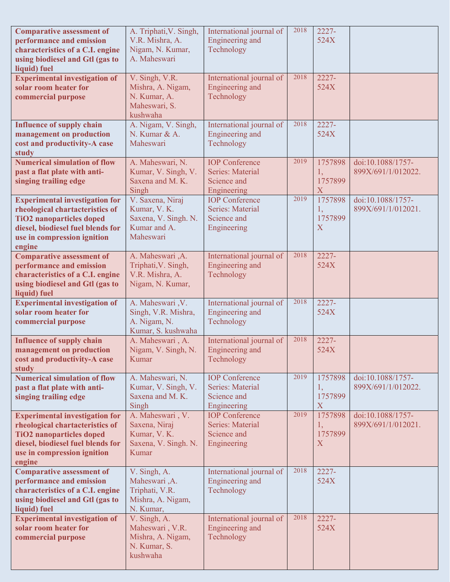| <b>Comparative assessment of</b><br>performance and emission<br>characteristics of a C.I. engine<br>using biodiesel and Gtl (gas to<br>liquid) fuel                                       | A. Triphati, V. Singh,<br>V.R. Mishra, A.<br>Nigam, N. Kumar,<br>A. Maheswari         | International journal of<br>Engineering and<br>Technology                      | 2018 | $2227 -$<br>524X              |                                         |
|-------------------------------------------------------------------------------------------------------------------------------------------------------------------------------------------|---------------------------------------------------------------------------------------|--------------------------------------------------------------------------------|------|-------------------------------|-----------------------------------------|
| <b>Experimental investigation of</b><br>solar room heater for<br>commercial purpose                                                                                                       | V. Singh, V.R.<br>Mishra, A. Nigam,<br>N. Kumar, A.<br>Maheswari, S.<br>kushwaha      | International journal of<br>Engineering and<br>Technology                      | 2018 | 2227-<br>524X                 |                                         |
| <b>Influence of supply chain</b><br>management on production<br>cost and productivity-A case<br>study                                                                                     | A. Nigam, V. Singh,<br>N. Kumar & A.<br>Maheswari                                     | International journal of<br>Engineering and<br>Technology                      | 2018 | 2227-<br>524X                 |                                         |
| <b>Numerical simulation of flow</b><br>past a flat plate with anti-<br>singing trailing edge                                                                                              | A. Maheswari, N.<br>Kumar, V. Singh, V.<br>Saxena and M. K.<br>Singh                  | <b>IOP</b> Conference<br>Series: Material<br>Science and<br>Engineering        | 2019 | 1757898<br>1,<br>1757899<br>X | doi:10.1088/1757-<br>899X/691/1/012022. |
| <b>Experimental investigation for</b><br>rheological chartacteristics of<br><b>TiO2</b> nanoparticles doped<br>diesel, biodiesel fuel blends for<br>use in compression ignition<br>engine | V. Saxena, Niraj<br>Kumar, V. K.<br>Saxena, V. Singh. N.<br>Kumar and A.<br>Maheswari | <b>IOP</b> Conference<br><b>Series: Material</b><br>Science and<br>Engineering | 2019 | 1757898<br>1,<br>1757899<br>X | doi:10.1088/1757-<br>899X/691/1/012021. |
| <b>Comparative assessment of</b><br>performance and emission<br>characteristics of a C.I. engine<br>using biodiesel and Gtl (gas to<br>liquid) fuel                                       | A. Maheswari, A.<br>Triphati, V. Singh,<br>V.R. Mishra, A.<br>Nigam, N. Kumar,        | International journal of<br>Engineering and<br>Technology                      | 2018 | $2227 -$<br>524X              |                                         |
| <b>Experimental investigation of</b><br>solar room heater for<br>commercial purpose                                                                                                       | A. Maheswari , V.<br>Singh, V.R. Mishra,<br>A. Nigam, N.<br>Kumar, S. kushwaha        | International journal of<br>Engineering and<br>Technology                      | 2018 | $2227 -$<br>524X              |                                         |
| <b>Influence of supply chain</b><br>management on production<br>cost and productivity-A case<br>study                                                                                     | A. Maheswari, A.<br>Nigam, V. Singh, N.<br>Kumar                                      | International journal of<br>Engineering and<br>Technology                      | 2018 | $2227 -$<br>524X              |                                         |
| <b>Numerical simulation of flow</b><br>past a flat plate with anti-<br>singing trailing edge                                                                                              | A. Maheswari, N.<br>Kumar, V. Singh, V.<br>Saxena and M.K.<br>Singh                   | <b>IOP</b> Conference<br><b>Series: Material</b><br>Science and<br>Engineering | 2019 | 1757898<br>1,<br>1757899<br>X | doi:10.1088/1757-<br>899X/691/1/012022. |
| <b>Experimental investigation for</b><br>rheological chartacteristics of<br><b>TiO2</b> nanoparticles doped<br>diesel, biodiesel fuel blends for<br>use in compression ignition<br>engine | A. Maheswari, V.<br>Saxena, Niraj<br>Kumar, V. K.<br>Saxena, V. Singh. N.<br>Kumar    | <b>IOP</b> Conference<br><b>Series: Material</b><br>Science and<br>Engineering | 2019 | 1757898<br>1,<br>1757899<br>X | doi:10.1088/1757-<br>899X/691/1/012021. |
| <b>Comparative assessment of</b><br>performance and emission<br>characteristics of a C.I. engine<br>using biodiesel and Gtl (gas to<br>liquid) fuel                                       | V. Singh, A.<br>Maheswari, A.<br>Triphati, V.R.<br>Mishra, A. Nigam,<br>N. Kumar,     | International journal of<br>Engineering and<br>Technology                      | 2018 | $2227 -$<br>524X              |                                         |
| <b>Experimental investigation of</b><br>solar room heater for<br>commercial purpose                                                                                                       | V. Singh, A.<br>Maheswari, V.R.<br>Mishra, A. Nigam,<br>N. Kumar, S.<br>kushwaha      | International journal of<br>Engineering and<br>Technology                      | 2018 | 2227-<br>524X                 |                                         |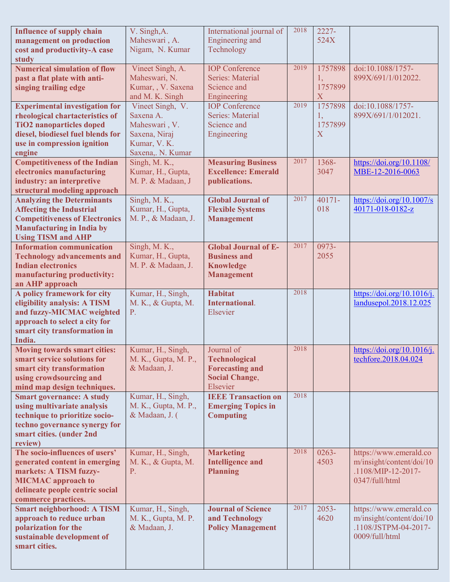|                                       | V. Singh, A.         | International journal of    | 2018 | 2227-     |                            |
|---------------------------------------|----------------------|-----------------------------|------|-----------|----------------------------|
| <b>Influence of supply chain</b>      |                      |                             |      | 524X      |                            |
| management on production              | Maheswari, A.        | Engineering and             |      |           |                            |
| cost and productivity-A case          | Nigam, N. Kumar      | Technology                  |      |           |                            |
| study                                 |                      |                             |      |           |                            |
| <b>Numerical simulation of flow</b>   | Vineet Singh, A.     | <b>IOP</b> Conference       | 2019 | 1757898   | doi:10.1088/1757-          |
| past a flat plate with anti-          | Maheswari, N.        | <b>Series: Material</b>     |      | 1,        | 899X/691/1/012022.         |
|                                       |                      | Science and                 |      | 1757899   |                            |
| singing trailing edge                 | Kumar, , V. Saxena   |                             |      |           |                            |
|                                       | and M. K. Singh      | Engineering                 |      | X         |                            |
| <b>Experimental investigation for</b> | Vineet Singh, V.     | <b>IOP</b> Conference       | 2019 | 1757898   | doi:10.1088/1757-          |
| rheological chartacteristics of       | Saxena A.            | <b>Series: Material</b>     |      | 1,        | 899X/691/1/012021.         |
| <b>TiO2</b> nanoparticles doped       | Maheswari, V.        | Science and                 |      | 1757899   |                            |
| diesel, biodiesel fuel blends for     | Saxena, Niraj        | Engineering                 |      | X         |                            |
|                                       |                      |                             |      |           |                            |
| use in compression ignition           | Kumar, V. K.         |                             |      |           |                            |
| engine                                | Saxena,. N. Kumar    |                             |      |           |                            |
| <b>Competitiveness of the Indian</b>  | Singh, M. K.,        | <b>Measuring Business</b>   | 2017 | 1368-     | https://doi.org/10.1108/   |
| electronics manufacturing             | Kumar, H., Gupta,    | <b>Excellence: Emerald</b>  |      | 3047      | MBE-12-2016-0063           |
| industry: an interpretive             | M. P. & Madaan, J    | publications.               |      |           |                            |
| structural modeling approach          |                      |                             |      |           |                            |
| <b>Analyzing the Determinants</b>     | Singh, M. K.,        | <b>Global Journal of</b>    | 2017 | $40171 -$ | https://doi.org/10.1007/s  |
| <b>Affecting the Industrial</b>       | Kumar, H., Gupta,    | <b>Flexible Systems</b>     |      | 018       | 40171-018-0182-z           |
|                                       |                      |                             |      |           |                            |
| <b>Competitiveness of Electronics</b> | M. P., & Madaan, J.  | <b>Management</b>           |      |           |                            |
| <b>Manufacturing in India by</b>      |                      |                             |      |           |                            |
| <b>Using TISM and AHP</b>             |                      |                             |      |           |                            |
| <b>Information communication</b>      | Singh, M. K.,        | <b>Global Journal of E-</b> | 2017 | 0973-     |                            |
| <b>Technology advancements and</b>    | Kumar, H., Gupta,    | <b>Business and</b>         |      | 2055      |                            |
| <b>Indian electronics</b>             | M. P. & Madaan, J.   | <b>Knowledge</b>            |      |           |                            |
| manufacturing productivity:           |                      | <b>Management</b>           |      |           |                            |
|                                       |                      |                             |      |           |                            |
| an AHP approach                       |                      |                             | 2018 |           |                            |
| A policy framework for city           | Kumar, H., Singh,    | <b>Habitat</b>              |      |           | https://doi.org/10.1016/j. |
| eligibility analysis: A TISM          | M. K., & Gupta, M.   | <b>International.</b>       |      |           | landusepol.2018.12.025     |
|                                       | P.                   | Elsevier                    |      |           |                            |
| and fuzzy-MICMAC weighted             |                      |                             |      |           |                            |
| approach to select a city for         |                      |                             |      |           |                            |
|                                       |                      |                             |      |           |                            |
| smart city transformation in          |                      |                             |      |           |                            |
| India.                                |                      |                             | 2018 |           |                            |
| <b>Moving towards smart cities:</b>   | Kumar, H., Singh,    | Journal of                  |      |           | https://doi.org/10.1016/j. |
| smart service solutions for           | M. K., Gupta, M. P., | <b>Technological</b>        |      |           | techfore.2018.04.024       |
| smart city transformation             | & Madaan, J.         | <b>Forecasting and</b>      |      |           |                            |
| using crowdsourcing and               |                      | <b>Social Change,</b>       |      |           |                            |
| mind map design techniques.           |                      | Elsevier                    |      |           |                            |
| <b>Smart governance: A study</b>      | Kumar, H., Singh,    | <b>IEEE Transaction on</b>  | 2018 |           |                            |
| using multivariate analysis           | M. K., Gupta, M. P., | <b>Emerging Topics in</b>   |      |           |                            |
|                                       | & Madaan, J. (       |                             |      |           |                            |
| technique to prioritize socio-        |                      | <b>Computing</b>            |      |           |                            |
| techno governance synergy for         |                      |                             |      |           |                            |
| smart cities. (under 2nd              |                      |                             |      |           |                            |
| review)                               |                      |                             |      |           |                            |
| The socio-influences of users'        | Kumar, H., Singh,    | <b>Marketing</b>            | 2018 | $0263 -$  | https://www.emerald.co     |
| generated content in emerging         | M. K., & Gupta, M.   | <b>Intelligence and</b>     |      | 4503      | m/insight/content/doi/10   |
| markets: A TISM fuzzy-                | P.                   | <b>Planning</b>             |      |           | .1108/MIP-12-2017-         |
| <b>MICMAC</b> approach to             |                      |                             |      |           | 0347/full/html             |
| delineate people centric social       |                      |                             |      |           |                            |
|                                       |                      |                             |      |           |                            |
| commerce practices.                   |                      |                             | 2017 |           |                            |
| <b>Smart neighborhood: A TISM</b>     | Kumar, H., Singh,    | <b>Journal of Science</b>   |      | $2053 -$  | https://www.emerald.co     |
| approach to reduce urban              | M. K., Gupta, M. P.  | and Technology              |      | 4620      | m/insight/content/doi/10   |
| polarization for the                  | & Madaan, J.         | <b>Policy Management</b>    |      |           | .1108/JSTPM-04-2017-       |
| sustainable development of            |                      |                             |      |           | 0009/full/html             |
| smart cities.                         |                      |                             |      |           |                            |
|                                       |                      |                             |      |           |                            |